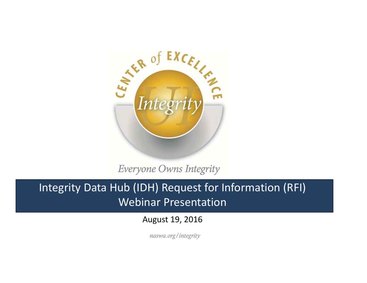

Everyone Owns Integrity

### Integrity Data Hub (IDH) Request for Information (RFI) Webinar Presentation

August 19, 2016

*naswa.org/integrity*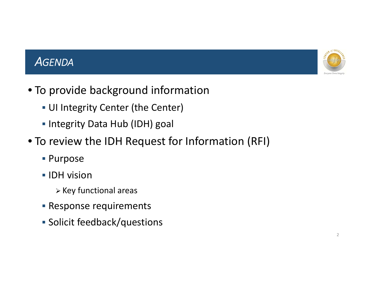### *AGENDA*



- **UI Integrity Center (the Center)**
- **Examber 11 Theory Data Hub (IDH) goal**
- To review the IDH Request for Information (RFI)
	- Purpose
	- **IDH vision** 
		- $\triangleright$  Key functional areas
	- **Response requirements**
	- **Solicit feedback/questions**

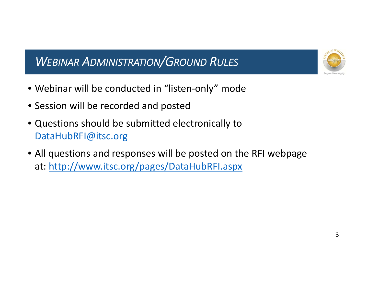# *WEBINAR ADMINISTRATION/GROUND RULES*

- Webinar will be conducted in "listen‐only" mode
- Session will be recorded and posted
- Questions should be submitted electronically to DataHubRFI@itsc.org
- All questions and responses will be posted on the RFI webpage at: http://www.itsc.org/pages/DataHubRFI.aspx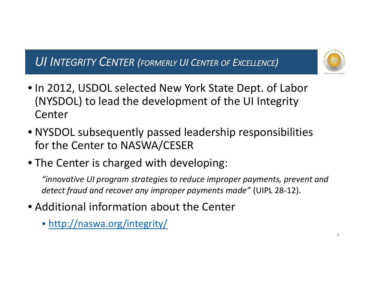# *UI INTEGRITY CENTER (FORMERLY UI CENTER OF EXCELLENCE)*



- In 2012, USDOL selected New York State Dept. of Labor (NYSDOL) to lead the development of the UI Integrity Center
- NYSDOL subsequently passed leadership responsibilities for the Center to NASWA/CESER
- The Center is charged with developing:

*"innovative UI program strategies to reduce improper payments, prevent and detect fraud and recover any improper payments made"* (UIPL 28‐12).

- Additional information about the Center
	- http://naswa.org/integrity/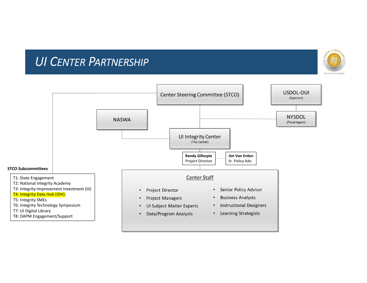#### *UI CENTER PARTNERSHIP*



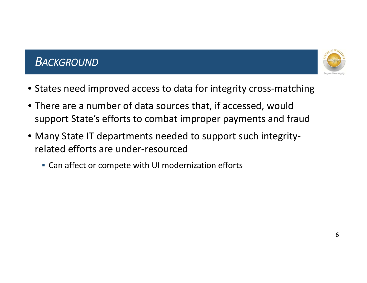### *BACKGROUND*



- States need improved access to data for integrity cross‐matching
- There are <sup>a</sup> number of data sources that, if accessed, would support State's efforts to combat improper payments and fraud
- Many State IT departments needed to support such integrity‐ related efforts are under‐resourced
	- Can affect or compete with UI modernization efforts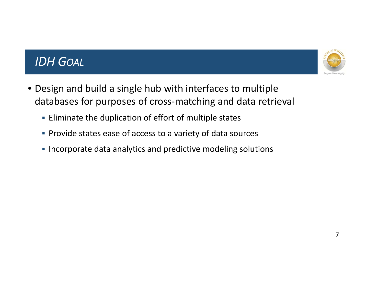## *IDH GOAL*



- Design and build <sup>a</sup> single hub with interfaces to multiple databases for purposes of cross‐matching and data retrieval
	- **Eliminate the duplication of effort of multiple states**
	- Provide states ease of access to <sup>a</sup> variety of data sources
	- **Incorporate data analytics and predictive modeling solutions**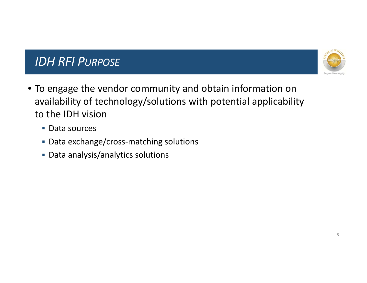# *IDH RFI PURPOSE*



- Data sources
- Data exchange/cross-matching solutions
- Data analysis/analytics solutions

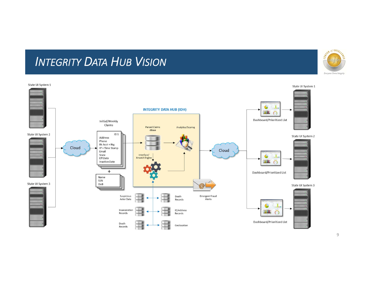### *INTEGRITY DATA HUB VISION*





REA of EXCELL

Everyone Owns Integrity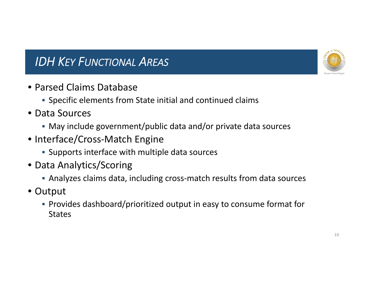# *IDH KEY FUNCTIONAL AREAS*

- Parsed Claims Database
	- Specific elements from State initial and continued claims
- Data Sources
	- May include government/public data and/or private data sources
- Interface/Cross‐Match Engine
	- **Supports interface with multiple data sources**
- Data Analytics/Scoring
	- Analyzes claims data, including cross-match results from data sources
- Output
	- Provides dashboard/prioritized output in easy to consume format for States

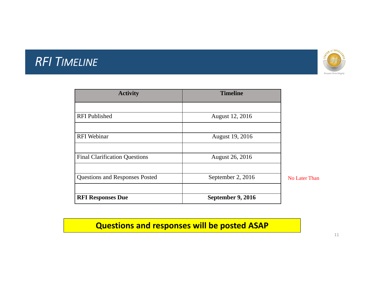# *RFI TIMELINE*



| <b>Activity</b>                       | <b>Timeline</b>        |  |
|---------------------------------------|------------------------|--|
|                                       |                        |  |
| <b>RFI</b> Published                  | August 12, 2016        |  |
| <b>RFI</b> Webinar                    | August 19, 2016        |  |
| <b>Final Clarification Questions</b>  | <b>August 26, 2016</b> |  |
| <b>Questions and Responses Posted</b> | September 2, 2016      |  |
| <b>RFI Responses Due</b>              | September 9, 2016      |  |

o Later Than

#### **Questions and responses will be posted ASAP**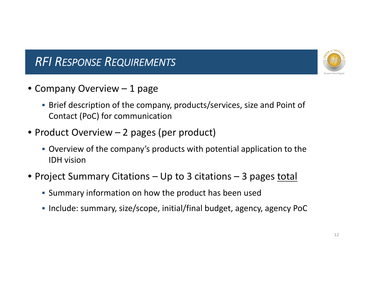# *RFI RESPONSE REQUIREMENTS*

- Company Overview 1 page
	- Brief description of the company, products/services, size and Point of Contact (PoC) for communication
- Product Overview 2 pages (per product)
	- Overview of the company's products with potential application to the IDH vision
- Project Summary Citations Up to 3 citations 3 pages <u>total</u>
	- Summary information on how the product has been used
	- **Include: summary, size/scope, initial/final budget, agency, agency PoC**

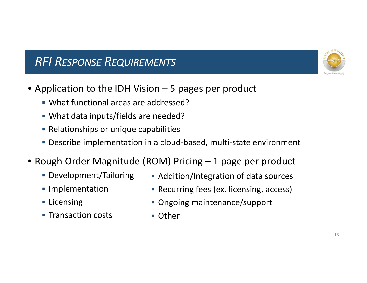# *RFI RESPONSE REQUIREMENTS*

- Application to the IDH Vision 5 pages per product
	- What functional areas are addressed?
	- What data inputs/fields are needed?
	- Relationships or unique capabilities
	- Describe implementation in a cloud-based, multi-state environment
- Rough Order Magnitude (ROM) Pricing 1 page per product
	- Development/Tailoring
	- **Implementation**
	- **Licensing**
	- **Transaction costs**
- **Addition/Integration of data sources**
- **Recurring fees (ex. licensing, access)**
- Ongoing maintenance/support
- Other

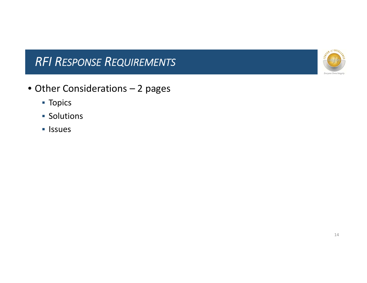# *RFI RESPONSE REQUIREMENTS*

- Other Considerations 2 pages
	- Topics
	- **Solutions**
	- **E** Issues

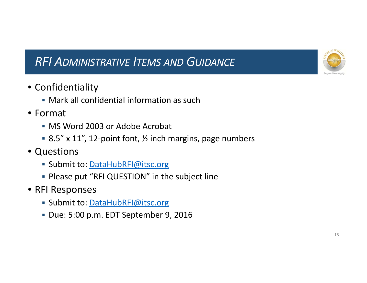# *RFI ADMINISTRATIVE ITEMS AND GUIDANCE*

- Confidentiality
	- Mark all confidential information as such
- Format
	- MS Word 2003 or Adobe Acrobat
	- 8.5" x 11", 12-point font,  $\frac{1}{2}$  inch margins, page numbers
- Questions
	- Submit to: DataHubRFI@itsc.org |
	- Please put "RFI QUESTION" in the subject line
- RFI Responses
	- Submit to: DataHubRFI@itsc.org <a>
	- Due: 5:00 p.m. EDT September 9, 2016